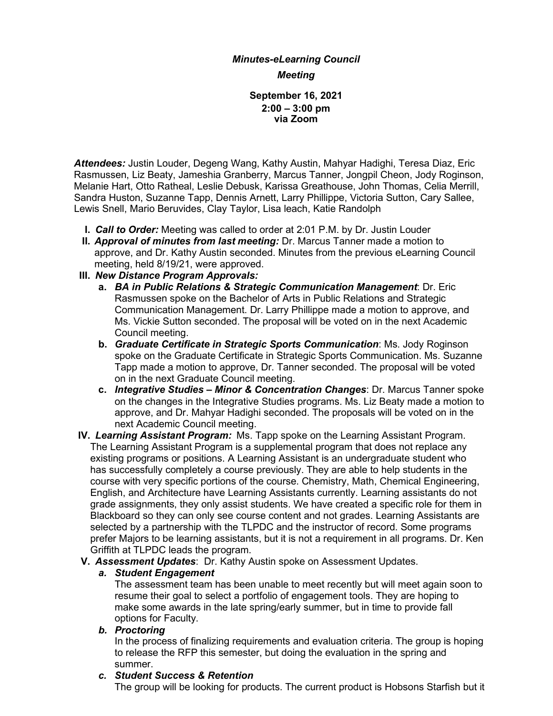# *Minutes-eLearning Council Meeting*

#### **September 16, 2021 2:00 – 3:00 pm via Zoom**

*Attendees:* Justin Louder, Degeng Wang, Kathy Austin, Mahyar Hadighi, Teresa Diaz, Eric Rasmussen, Liz Beaty, Jameshia Granberry, Marcus Tanner, Jongpil Cheon, Jody Roginson, Melanie Hart, Otto Ratheal, Leslie Debusk, Karissa Greathouse, John Thomas, Celia Merrill, Sandra Huston, Suzanne Tapp, Dennis Arnett, Larry Phillippe, Victoria Sutton, Cary Sallee, Lewis Snell, Mario Beruvides, Clay Taylor, Lisa leach, Katie Randolph

- **I.** *Call to Order:* Meeting was called to order at 2:01 P.M. by Dr. Justin Louder
- **II.** *Approval of minutes from last meeting:* Dr. Marcus Tanner made a motion to approve, and Dr. Kathy Austin seconded. Minutes from the previous eLearning Council meeting, held 8/19/21, were approved.
- **III.** *New Distance Program Approvals:*
	- **a.** *BA in Public Relations & Strategic Communication Management*: Dr. Eric Rasmussen spoke on the Bachelor of Arts in Public Relations and Strategic Communication Management. Dr. Larry Phillippe made a motion to approve, and Ms. Vickie Sutton seconded. The proposal will be voted on in the next Academic Council meeting.
	- **b.** *Graduate Certificate in Strategic Sports Communication*: Ms. Jody Roginson spoke on the Graduate Certificate in Strategic Sports Communication. Ms. Suzanne Tapp made a motion to approve, Dr. Tanner seconded. The proposal will be voted on in the next Graduate Council meeting.
	- **c.** *Integrative Studies – Minor & Concentration Changes*: Dr. Marcus Tanner spoke on the changes in the Integrative Studies programs. Ms. Liz Beaty made a motion to approve, and Dr. Mahyar Hadighi seconded. The proposals will be voted on in the next Academic Council meeting.
- **IV.** *Learning Assistant Program:* Ms. Tapp spoke on the Learning Assistant Program. The Learning Assistant Program is a supplemental program that does not replace any existing programs or positions. A Learning Assistant is an undergraduate student who has successfully completely a course previously. They are able to help students in the course with very specific portions of the course. Chemistry, Math, Chemical Engineering, English, and Architecture have Learning Assistants currently. Learning assistants do not grade assignments, they only assist students. We have created a specific role for them in Blackboard so they can only see course content and not grades. Learning Assistants are selected by a partnership with the TLPDC and the instructor of record. Some programs prefer Majors to be learning assistants, but it is not a requirement in all programs. Dr. Ken Griffith at TLPDC leads the program.
- **V.** *Assessment Updates*: Dr. Kathy Austin spoke on Assessment Updates.

## *a. Student Engagement*

The assessment team has been unable to meet recently but will meet again soon to resume their goal to select a portfolio of engagement tools. They are hoping to make some awards in the late spring/early summer, but in time to provide fall options for Faculty.

## *b. Proctoring*

In the process of finalizing requirements and evaluation criteria. The group is hoping to release the RFP this semester, but doing the evaluation in the spring and summer.

## *c. Student Success & Retention*

The group will be looking for products. The current product is Hobsons Starfish but it